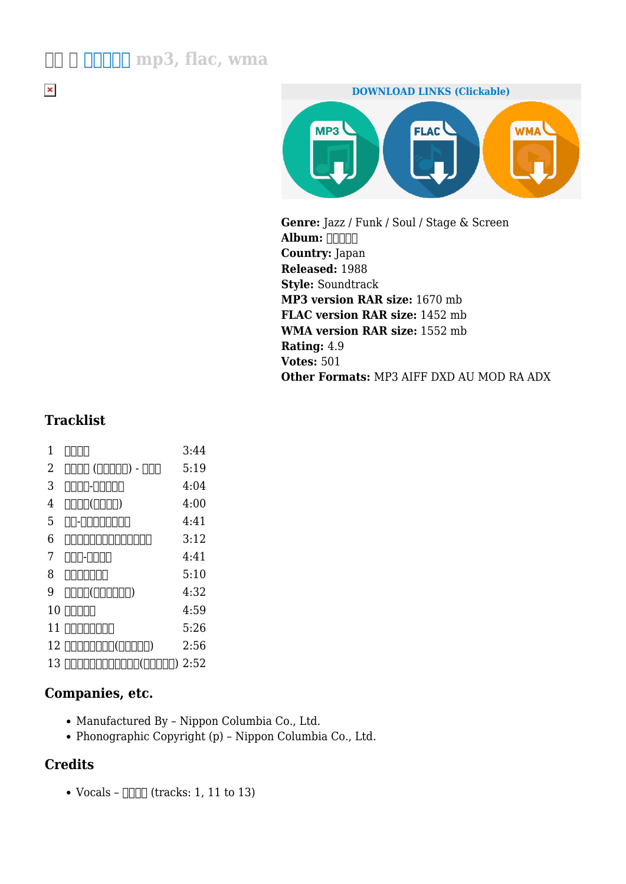## **三沢 郷 デビルマン mp3, flac, wma**

 $\pmb{\times}$ 



**Genre:** Jazz / Funk / Soul / Stage & Screen Album: **FIFIELD Country:** Japan **Released:** 1988 **Style:** Soundtrack **MP3 version RAR size:** 1670 mb **FLAC version RAR size:** 1452 mb **WMA version RAR size:** 1552 mb **Rating:** 4.9 **Votes:** 501 **Other Formats:** MP3 AIFF DXD AU MOD RA ADX

## **Tracklist**

 $1 \quad \Box \Box \Box$   $3:44$ 2 悪魔人間 (デビルマン) - 不動明 5:19  $3 \quad \textcolor{red}{\text{1000-0000}} \qquad \qquad 4:04$  $4 \quad \text{OD}$  $\text{OD}$  $\text{OD}$  $\text{OD}$  $\text{OD}$  $\text{OD}$  $\text{OD}$  $\text{OD}$  $5 \quad \Box$  $6$  000000000000000000 3:12  $7 \quad \text{ODD-ODD}$  4:41 8 100000 5:10  $9$   $1111(111111)$   $4:32$  $10$   $\Box$ 11 0000000 5:26 12 デビルマンのうた(フルサイズ) 2:56 13 今日もどこかでデビルマン(フルサイズ) 2:52

## **Companies, etc.**

- Manufactured By Nippon Columbia Co., Ltd.
- Phonographic Copyright (p) Nippon Columbia Co., Ltd.

## **Credits**

• Vocals –  $\Box$  (tracks: 1, 11 to 13)